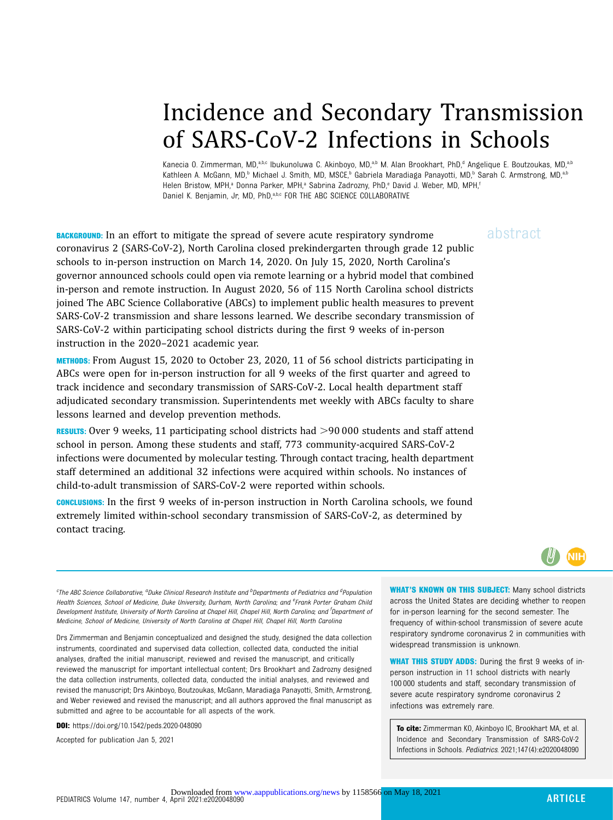# Incidence and Secondary Transmission of SARS-CoV-2 Infections in Schools

Kanecia O. Zimmerman, MD,<sup>a,b,c</sup> Ibukunoluwa C. Akinboyo, MD,<sup>a,b</sup> M. Alan Brookhart, PhD,<sup>d</sup> Angelique E. Boutzoukas, MD,<sup>a,b</sup> Kathleen A. McGann, MD,<sup>b</sup> Michael J. Smith, MD, MSCE,<sup>b</sup> Gabriela Maradiaga Panayotti, MD,<sup>b</sup> Sarah C. Armstrong, MD,<sup>a,b</sup> Helen Bristow, MPH,<sup>a</sup> Donna Parker, MPH,<sup>a</sup> Sabrina Zadrozny, PhD,<sup>e</sup> David J. Weber, MD, MPH,<sup>f</sup> Daniel K. Benjamin, Jr, MD, PhD, a,b,c FOR THE ABC SCIENCE COLLABORATIVE

**BACKGROUND:** In an effort to mitigate the spread of severe acute respiratory syndrome  $a\bar{b}$ stract coronavirus 2 (SARS-CoV-2), North Carolina closed prekindergarten through grade 12 public schools to in-person instruction on March 14, 2020. On July 15, 2020, North Carolina's governor announced schools could open via remote learning or a hybrid model that combined in-person and remote instruction. In August 2020, 56 of 115 North Carolina school districts joined The ABC Science Collaborative (ABCs) to implement public health measures to prevent SARS-CoV-2 transmission and share lessons learned. We describe secondary transmission of SARS-CoV-2 within participating school districts during the first 9 weeks of in-person instruction in the 2020–2021 academic year.

METHODS: From August 15, 2020 to October 23, 2020, 11 of 56 school districts participating in ABCs were open for in-person instruction for all 9 weeks of the first quarter and agreed to track incidence and secondary transmission of SARS-CoV-2. Local health department staff adjudicated secondary transmission. Superintendents met weekly with ABCs faculty to share lessons learned and develop prevention methods.

RESULTS: Over 9 weeks, 11 participating school districts had  $>$ 90 000 students and staff attend school in person. Among these students and staff, 773 community-acquired SARS-CoV-2 infections were documented by molecular testing. Through contact tracing, health department staff determined an additional 32 infections were acquired within schools. No instances of child-to-adult transmission of SARS-CoV-2 were reported within schools.

CONCLUSIONS: In the first 9 weeks of in-person instruction in North Carolina schools, we found extremely limited within-school secondary transmission of SARS-CoV-2, as determined by contact tracing.



<sup>e</sup>The ABC Science Collaborative, <sup>a</sup>Duke Clinical Research Institute and <sup>b</sup>Departments of Pediatrics and <sup>d</sup>Population Health Sciences, School of Medicine, Duke University, Durham, North Carolina; and <sup>e</sup>Frank Porter Graham Chila Development Institute, University of North Carolina at Chapel Hill, Chapel Hill, North Carolina; and <sup>f</sup>Department of Medicine, School of Medicine, University of North Carolina at Chapel Hill, Chapel Hill, North Carolina

Drs Zimmerman and Benjamin conceptualized and designed the study, designed the data collection instruments, coordinated and supervised data collection, collected data, conducted the initial analyses, drafted the initial manuscript, reviewed and revised the manuscript, and critically reviewed the manuscript for important intellectual content; Drs Brookhart and Zadrozny designed the data collection instruments, collected data, conducted the initial analyses, and reviewed and revised the manuscript; Drs Akinboyo, Boutzoukas, McGann, Maradiaga Panayotti, Smith, Armstrong, and Weber reviewed and revised the manuscript; and all authors approved the final manuscript as submitted and agree to be accountable for all aspects of the work.

DOI: <https://doi.org/10.1542/peds.2020-048090>

Accepted for publication Jan 5, 2021

WHAT'S KNOWN ON THIS SUBJECT: Many school districts across the United States are deciding whether to reopen for in-person learning for the second semester. The frequency of within-school transmission of severe acute respiratory syndrome coronavirus 2 in communities with widespread transmission is unknown.

WHAT THIS STUDY ADDS: During the first 9 weeks of inperson instruction in 11 school districts with nearly 100 000 students and staff, secondary transmission of severe acute respiratory syndrome coronavirus 2 infections was extremely rare.

To cite: Zimmerman KO, Akinboyo IC, Brookhart MA, et al. Incidence and Secondary Transmission of SARS-CoV-2 Infections in Schools. Pediatrics. 2021;147(4):e2020048090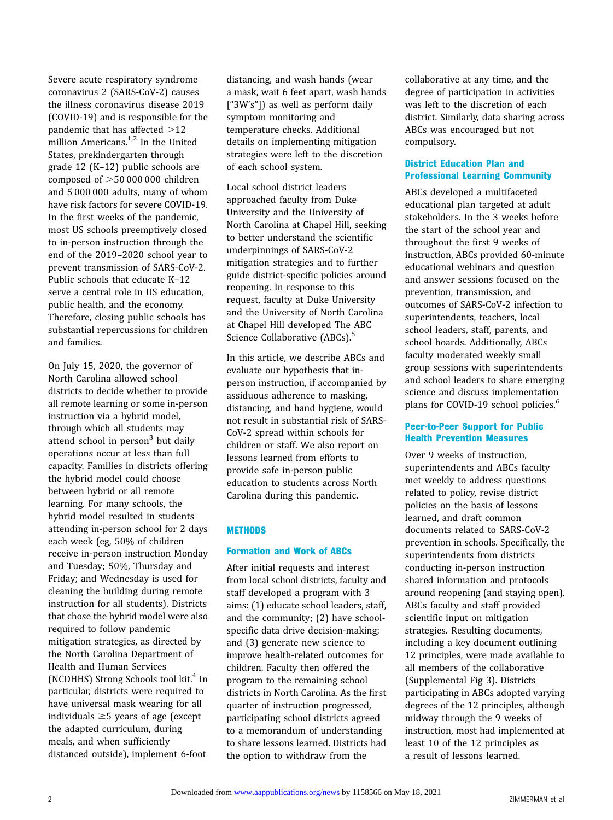Severe acute respiratory syndrome coronavirus 2 (SARS-CoV-2) causes the illness coronavirus disease 2019 (COVID-19) and is responsible for the pandemic that has affected  $>12$ million Americans.<sup>[1,2](#page-7-0)</sup> In the United States, prekindergarten through grade 12 (K–12) public schools are composed of  $>50000000$  children and 5 000 000 adults, many of whom have risk factors for severe COVID-19. In the first weeks of the pandemic, most US schools preemptively closed to in-person instruction through the end of the 2019–2020 school year to prevent transmission of SARS-CoV-2. Public schools that educate K–12 serve a central role in US education, public health, and the economy. Therefore, closing public schools has substantial repercussions for children and families.

On July 15, 2020, the governor of North Carolina allowed school districts to decide whether to provide all remote learning or some in-person instruction via a hybrid model, through which all students may attend school in person<sup>3</sup> but daily operations occur at less than full capacity. Families in districts offering the hybrid model could choose between hybrid or all remote learning. For many schools, the hybrid model resulted in students attending in-person school for 2 days each week (eg, 50% of children receive in-person instruction Monday and Tuesday; 50%, Thursday and Friday; and Wednesday is used for cleaning the building during remote instruction for all students). Districts that chose the hybrid model were also required to follow pandemic mitigation strategies, as directed by the North Carolina Department of Health and Human Services (NCDHHS) Strong Schools tool kit. $4 \text{ In }$  $4 \text{ In }$ particular, districts were required to have universal mask wearing for all individuals  $\geq$  5 years of age (except the adapted curriculum, during meals, and when sufficiently distanced outside), implement 6-foot

distancing, and wash hands (wear a mask, wait 6 feet apart, wash hands ["3W's"]) as well as perform daily symptom monitoring and temperature checks. Additional details on implementing mitigation strategies were left to the discretion of each school system.

Local school district leaders approached faculty from Duke University and the University of North Carolina at Chapel Hill, seeking to better understand the scientific underpinnings of SARS-CoV-2 mitigation strategies and to further guide district-specific policies around reopening. In response to this request, faculty at Duke University and the University of North Carolina at Chapel Hill developed The ABC Science Collaborative (ABCs).<sup>[5](#page-7-0)</sup>

In this article, we describe ABCs and evaluate our hypothesis that inperson instruction, if accompanied by assiduous adherence to masking, distancing, and hand hygiene, would not result in substantial risk of SARS-CoV-2 spread within schools for children or staff. We also report on lessons learned from efforts to provide safe in-person public education to students across North Carolina during this pandemic.

### **METHODS**

#### Formation and Work of ABCs

After initial requests and interest from local school districts, faculty and staff developed a program with 3 aims: (1) educate school leaders, staff, and the community; (2) have schoolspecific data drive decision-making; and (3) generate new science to improve health-related outcomes for children. Faculty then offered the program to the remaining school districts in North Carolina. As the first quarter of instruction progressed, participating school districts agreed to a memorandum of understanding to share lessons learned. Districts had the option to withdraw from the

collaborative at any time, and the degree of participation in activities was left to the discretion of each district. Similarly, data sharing across ABCs was encouraged but not compulsory.

# District Education Plan and Professional Learning Community

ABCs developed a multifaceted educational plan targeted at adult stakeholders. In the 3 weeks before the start of the school year and throughout the first 9 weeks of instruction, ABCs provided 60-minute educational webinars and question and answer sessions focused on the prevention, transmission, and outcomes of SARS-CoV-2 infection to superintendents, teachers, local school leaders, staff, parents, and school boards. Additionally, ABCs faculty moderated weekly small group sessions with superintendents and school leaders to share emerging science and discuss implementation plans for COVID-19 school policies.<sup>[6](#page-7-0)</sup>

#### Peer-to-Peer Support for Public Health Prevention Measures

Over 9 weeks of instruction, superintendents and ABCs faculty met weekly to address questions related to policy, revise district policies on the basis of lessons learned, and draft common documents related to SARS-CoV-2 prevention in schools. Specifically, the superintendents from districts conducting in-person instruction shared information and protocols around reopening (and staying open). ABCs faculty and staff provided scientific input on mitigation strategies. Resulting documents, including a key document outlining 12 principles, were made available to all members of the collaborative [\(Supplemental Fig 3](https://pediatrics.aappublications.org/lookup/suppl/doi:10.1542/peds.2020-048090/-/DCSupplemental/)). Districts participating in ABCs adopted varying degrees of the 12 principles, although midway through the 9 weeks of instruction, most had implemented at least 10 of the 12 principles as a result of lessons learned.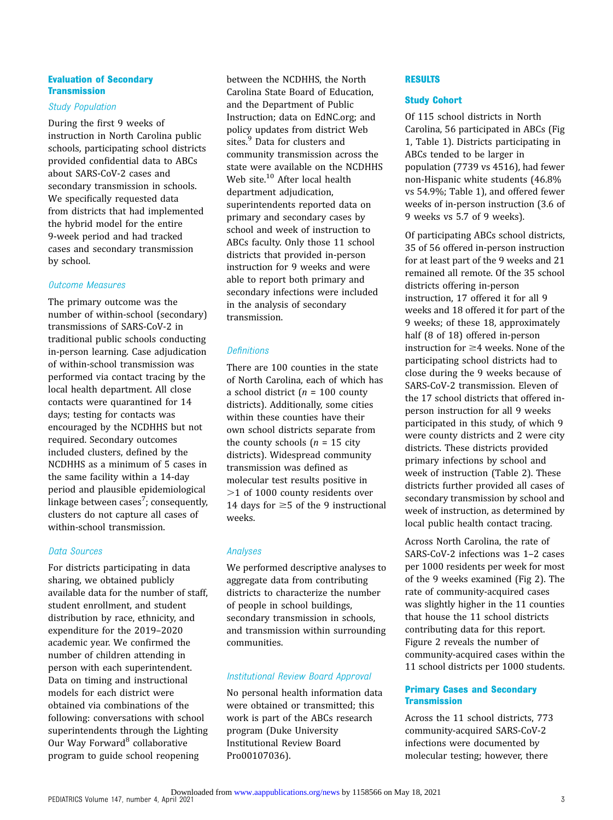#### Evaluation of Secondary **Transmission**

#### Study Population

During the first 9 weeks of instruction in North Carolina public schools, participating school districts provided confidential data to ABCs about SARS-CoV-2 cases and secondary transmission in schools. We specifically requested data from districts that had implemented the hybrid model for the entire 9-week period and had tracked cases and secondary transmission by school.

## Outcome Measures

The primary outcome was the number of within-school (secondary) transmissions of SARS-CoV-2 in traditional public schools conducting in-person learning. Case adjudication of within-school transmission was performed via contact tracing by the local health department. All close contacts were quarantined for 14 days; testing for contacts was encouraged by the NCDHHS but not required. Secondary outcomes included clusters, defined by the NCDHHS as a minimum of 5 cases in the same facility within a 14-day period and plausible epidemiological linkage between cases $^{7}$  $^{7}$  $^{7}$ ; consequently, clusters do not capture all cases of within-school transmission.

# Data Sources

For districts participating in data sharing, we obtained publicly available data for the number of staff, student enrollment, and student distribution by race, ethnicity, and expenditure for the 2019–2020 academic year. We confirmed the number of children attending in person with each superintendent. Data on timing and instructional models for each district were obtained via combinations of the following: conversations with school superintendents through the Lighting Our Way Forward<sup>[8](#page-7-0)</sup> collaborative program to guide school reopening

between the NCDHHS, the North Carolina State Board of Education, and the Department of Public Instruction; data on [EdNC.org;](http://EdNC.org) and policy updates from district Web sites.<sup>9</sup> Data for clusters and community transmission across the state were available on the NCDHHS Web site.<sup>[10](#page-7-0)</sup> After local health department adjudication, superintendents reported data on primary and secondary cases by school and week of instruction to ABCs faculty. Only those 11 school districts that provided in-person instruction for 9 weeks and were able to report both primary and secondary infections were included in the analysis of secondary transmission.

# **Definitions**

There are 100 counties in the state of North Carolina, each of which has a school district ( $n = 100$  county districts). Additionally, some cities within these counties have their own school districts separate from the county schools  $(n = 15$  city districts). Widespread community transmission was defined as molecular test results positive in  $>1$  of 1000 county residents over 14 days for  $\geq$  5 of the 9 instructional weeks.

# Analyses

We performed descriptive analyses to aggregate data from contributing districts to characterize the number of people in school buildings, secondary transmission in schools, and transmission within surrounding communities.

# Institutional Review Board Approval

No personal health information data were obtained or transmitted; this work is part of the ABCs research program (Duke University Institutional Review Board Pro00107036).

### **RESULTS**

# Study Cohort

Of 115 school districts in North Carolina, 56 participated in ABCs ([Fig](#page-3-0) [1,](#page-3-0) Table 1). Districts participating in ABCs tended to be larger in population (7739 vs 4516), had fewer non-Hispanic white students (46.8% vs 54.9%; Table 1), and offered fewer weeks of in-person instruction (3.6 of 9 weeks vs 5.7 of 9 weeks).

Of participating ABCs school districts, 35 of 56 offered in-person instruction for at least part of the 9 weeks and 21 remained all remote. Of the 35 school districts offering in-person instruction, 17 offered it for all 9 weeks and 18 offered it for part of the 9 weeks; of these 18, approximately half (8 of 18) offered in-person instruction for  $\geq$ 4 weeks. None of the participating school districts had to close during the 9 weeks because of SARS-CoV-2 transmission. Eleven of the 17 school districts that offered inperson instruction for all 9 weeks participated in this study, of which 9 were county districts and 2 were city districts. These districts provided primary infections by school and week of instruction (Table 2). These districts further provided all cases of secondary transmission by school and week of instruction, as determined by local public health contact tracing.

Across North Carolina, the rate of SARS-CoV-2 infections was 1–2 cases per 1000 residents per week for most of the 9 weeks examined [\(Fig 2](#page-5-0)). The rate of community-acquired cases was slightly higher in the 11 counties that house the 11 school districts contributing data for this report. [Figure 2](#page-5-0) reveals the number of community-acquired cases within the 11 school districts per 1000 students.

# Primary Cases and Secondary **Transmission**

Across the 11 school districts, 773 community-acquired SARS-CoV-2 infections were documented by molecular testing; however, there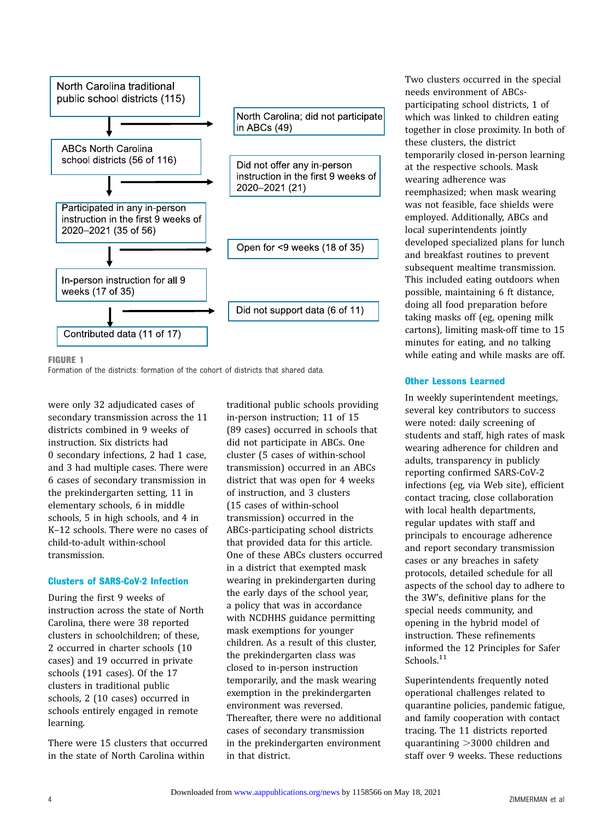<span id="page-3-0"></span>

FIGURE 1

Formation of the districts: formation of the cohort of districts that shared data.

were only 32 adjudicated cases of secondary transmission across the 11 districts combined in 9 weeks of instruction. Six districts had 0 secondary infections, 2 had 1 case, and 3 had multiple cases. There were 6 cases of secondary transmission in the prekindergarten setting, 11 in elementary schools, 6 in middle schools, 5 in high schools, and 4 in K–12 schools. There were no cases of child-to-adult within-school transmission.

#### Clusters of SARS-CoV-2 Infection

During the first 9 weeks of instruction across the state of North Carolina, there were 38 reported clusters in schoolchildren; of these, 2 occurred in charter schools (10 cases) and 19 occurred in private schools (191 cases). Of the 17 clusters in traditional public schools, 2 (10 cases) occurred in schools entirely engaged in remote learning.

There were 15 clusters that occurred in the state of North Carolina within

traditional public schools providing in-person instruction; 11 of 15 (89 cases) occurred in schools that did not participate in ABCs. One cluster (5 cases of within-school transmission) occurred in an ABCs district that was open for 4 weeks of instruction, and 3 clusters (15 cases of within-school transmission) occurred in the ABCs-participating school districts that provided data for this article. One of these ABCs clusters occurred in a district that exempted mask wearing in prekindergarten during the early days of the school year, a policy that was in accordance with NCDHHS guidance permitting mask exemptions for younger children. As a result of this cluster, the prekindergarten class was closed to in-person instruction temporarily, and the mask wearing exemption in the prekindergarten environment was reversed. Thereafter, there were no additional cases of secondary transmission in the prekindergarten environment in that district.

Two clusters occurred in the special needs environment of ABCsparticipating school districts, 1 of which was linked to children eating together in close proximity. In both of these clusters, the district temporarily closed in-person learning at the respective schools. Mask wearing adherence was reemphasized; when mask wearing was not feasible, face shields were employed. Additionally, ABCs and local superintendents jointly developed specialized plans for lunch and breakfast routines to prevent subsequent mealtime transmission. This included eating outdoors when possible, maintaining 6 ft distance, doing all food preparation before taking masks off (eg, opening milk cartons), limiting mask-off time to 15 minutes for eating, and no talking while eating and while masks are off.

#### Other Lessons Learned

In weekly superintendent meetings, several key contributors to success were noted: daily screening of students and staff, high rates of mask wearing adherence for children and adults, transparency in publicly reporting confirmed SARS-CoV-2 infections (eg, via Web site), efficient contact tracing, close collaboration with local health departments, regular updates with staff and principals to encourage adherence and report secondary transmission cases or any breaches in safety protocols, detailed schedule for all aspects of the school day to adhere to the 3W's, definitive plans for the special needs community, and opening in the hybrid model of instruction. These refinements informed the 12 Principles for Safer Schools.<sup>[11](#page-7-0)</sup>

Superintendents frequently noted operational challenges related to quarantine policies, pandemic fatigue, and family cooperation with contact tracing. The 11 districts reported quarantining  $>3000$  children and staff over 9 weeks. These reductions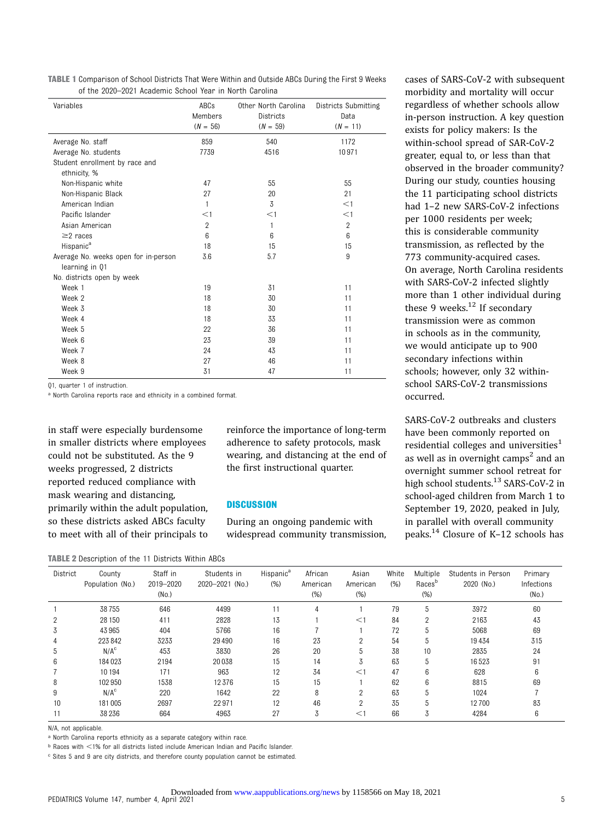TABLE 1 Comparison of School Districts That Were Within and Outside ABCs During the First 9 Weeks of the 2020–2021 Academic School Year in North Carolina

| Variables                            | ABCs<br>Members<br>$(N = 56)$ | Other North Carolina<br>Districts<br>$(N = 59)$ | Districts Submitting<br>Data<br>$(N = 11)$ |
|--------------------------------------|-------------------------------|-------------------------------------------------|--------------------------------------------|
| Average No. staff                    | 859                           | 540                                             | 1172                                       |
| Average No. students                 | 7739                          | 4516                                            | 10971                                      |
| Student enrollment by race and       |                               |                                                 |                                            |
| ethnicity, %                         |                               |                                                 |                                            |
| Non-Hispanic white                   | 47                            | 55                                              | 55                                         |
| Non-Hispanic Black                   | 27                            | 20                                              | 21                                         |
| American Indian                      | 1                             | 3                                               | $<$ 1                                      |
| Pacific Islander                     | $<$ 1                         | $<$ 1                                           | $<$ 1                                      |
| Asian American                       | $\overline{2}$                | 1                                               | $\overline{2}$                             |
| $\geq$ 2 races                       | 6                             | 6                                               | 6                                          |
| Hispanic <sup>a</sup>                | 18                            | 15                                              | 15                                         |
| Average No. weeks open for in-person | 3.6                           | 5.7                                             | 9                                          |
| learning in 01                       |                               |                                                 |                                            |
| No. districts open by week           |                               |                                                 |                                            |
| Week 1                               | 19                            | 31                                              | 11                                         |
| Week 2                               | 18                            | 30                                              | 11                                         |
| Week 3                               | 18                            | 30                                              | 11                                         |
| Week 4                               | 18                            | 33                                              | 11                                         |
| Week 5                               | 22                            | 36                                              | 11                                         |
| Week 6                               | 23                            | 39                                              | 11                                         |
| Week 7                               | 24                            | 43                                              | 11                                         |
| Week 8                               | 27                            | 46                                              | 11                                         |
| Week 9                               | 31                            | 47                                              | 11                                         |

Q1, quarter 1 of instruction.

a North Carolina reports race and ethnicity in a combined format

in staff were especially burdensome in smaller districts where employees could not be substituted. As the 9 weeks progressed, 2 districts reported reduced compliance with mask wearing and distancing, primarily within the adult population, so these districts asked ABCs faculty to meet with all of their principals to reinforce the importance of long-term adherence to safety protocols, mask wearing, and distancing at the end of the first instructional quarter.

#### **DISCUSSION**

During an ongoing pandemic with widespread community transmission, cases of SARS-CoV-2 with subsequent morbidity and mortality will occur regardless of whether schools allow in-person instruction. A key question exists for policy makers: Is the within-school spread of SAR-CoV-2 greater, equal to, or less than that observed in the broader community? During our study, counties housing the 11 participating school districts had 1–2 new SARS-CoV-2 infections per 1000 residents per week; this is considerable community transmission, as reflected by the 773 community-acquired cases. On average, North Carolina residents with SARS-CoV-2 infected slightly more than 1 other individual during these 9 weeks. $12$  If secondary transmission were as common in schools as in the community, we would anticipate up to 900 secondary infections within schools; however, only 32 withinschool SARS-CoV-2 transmissions occurred.

SARS-CoV-2 outbreaks and clusters have been commonly reported on residential colleges and universities<sup>[1](#page-7-0)</sup> as well as in overnight camps<sup>2</sup> and an overnight summer school retreat for high school students.<sup>[13](#page-7-0)</sup> SARS-CoV-2 in school-aged children from March 1 to September 19, 2020, peaked in July, in parallel with overall community peaks.[14](#page-7-0) Closure of K–12 schools has

|  |  | <b>TABLE 2</b> Description of the 11 Districts Within ABCs |  |  |  |  |  |
|--|--|------------------------------------------------------------|--|--|--|--|--|
|--|--|------------------------------------------------------------|--|--|--|--|--|

| District | County<br>Population (No.) | Staff in<br>2019-2020<br>(No.) | Students in<br>2020-2021 (No.) | Hispanic <sup>a</sup><br>(% ) | African<br>American<br>$(\%)$ | Asian<br>American<br>$(\%)$ | White<br>(% ) | Multiple<br>Races <sup>b</sup><br>(% ) | Students in Person<br>2020 (No.) | Primary<br>Infections<br>(No.) |
|----------|----------------------------|--------------------------------|--------------------------------|-------------------------------|-------------------------------|-----------------------------|---------------|----------------------------------------|----------------------------------|--------------------------------|
|          | 38755                      | 646                            | 4499                           | 11                            | 4                             |                             | 79            | 5                                      | 3972                             | 60                             |
|          | 28 150                     | 411                            | 2828                           | 13                            |                               | $<$ 1                       | 84            | 2                                      | 2163                             | 43                             |
| ٠D.      | 43965                      | 404                            | 5766                           | 16                            |                               |                             | 72            | 5                                      | 5068                             | 69                             |
|          | 223 842                    | 3233                           | 29 4 9 0                       | 16                            | 23                            | $\overline{2}$              | 54            | 5                                      | 19434                            | 315                            |
| 5        | N/A <sup>c</sup>           | 453                            | 3830                           | 26                            | 20                            | 5                           | 38            | 10                                     | 2835                             | 24                             |
| 6        | 184 023                    | 2194                           | 20 038                         | 15                            | 14                            | 3                           | 63            | 5                                      | 16523                            | 91                             |
|          | 10 194                     | 171                            | 963                            | 12                            | 34                            | $<$ 1                       | 47            | 6                                      | 628                              | 6                              |
| 8        | 102 950                    | 1538                           | 12376                          | 15                            | 15                            |                             | 62            | 6                                      | 8815                             | 69                             |
| 9        | N/A <sup>c</sup>           | 220                            | 1642                           | 22                            | 8                             | 2                           | 63            | 5                                      | 1024                             |                                |
| 10       | 181 005                    | 2697                           | 22971                          | 12                            | 46                            | ŋ                           | 35            | 5                                      | 12700                            | 83                             |
|          | 38 236                     | 664                            | 4963                           | 27                            | 3                             | $\lt$                       | 66            | Ő                                      | 4284                             | 6                              |

N/A, not applicable.

a North Carolina reports ethnicity as a separate category within race.

**b Races with <1% for all districts listed include American Indian and Pacific Islander.** 

c Sites 5 and 9 are city districts, and therefore county population cannot be estimated.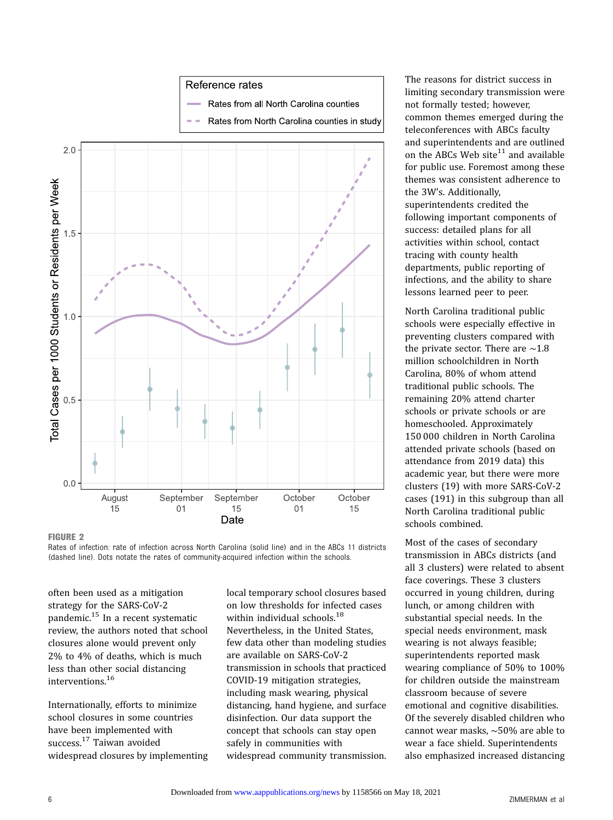#### Reference rates

- Rates from all North Carolina counties
- Rates from North Carolina counties in study

<span id="page-5-0"></span>



Rates of infection: rate of infection across North Carolina (solid line) and in the ABCs 11 districts (dashed line). Dots notate the rates of community-acquired infection within the schools.

often been used as a mitigation strategy for the SARS-CoV-2 pandemic.[15](#page-7-0) In a recent systematic review, the authors noted that school closures alone would prevent only 2% to 4% of deaths, which is much less than other social distancing interventions.[16](#page-7-0)

Internationally, efforts to minimize school closures in some countries have been implemented with success.<sup>[17](#page-7-0)</sup> Taiwan avoided widespread closures by implementing local temporary school closures based on low thresholds for infected cases within individual schools.<sup>[18](#page-7-0)</sup> Nevertheless, in the United States, few data other than modeling studies are available on SARS-CoV-2 transmission in schools that practiced COVID-19 mitigation strategies, including mask wearing, physical distancing, hand hygiene, and surface disinfection. Our data support the concept that schools can stay open safely in communities with widespread community transmission. The reasons for district success in limiting secondary transmission were not formally tested; however, common themes emerged during the teleconferences with ABCs faculty and superintendents and are outlined on the ABCs Web site $11$  and available for public use. Foremost among these themes was consistent adherence to the 3W's. Additionally, superintendents credited the following important components of success: detailed plans for all activities within school, contact tracing with county health departments, public reporting of infections, and the ability to share lessons learned peer to peer.

North Carolina traditional public schools were especially effective in preventing clusters compared with the private sector. There are ∼1.8 million schoolchildren in North Carolina, 80% of whom attend traditional public schools. The remaining 20% attend charter schools or private schools or are homeschooled. Approximately 150 000 children in North Carolina attended private schools (based on attendance from 2019 data) this academic year, but there were more clusters (19) with more SARS-CoV-2 cases (191) in this subgroup than all North Carolina traditional public schools combined.

Most of the cases of secondary transmission in ABCs districts (and all 3 clusters) were related to absent face coverings. These 3 clusters occurred in young children, during lunch, or among children with substantial special needs. In the special needs environment, mask wearing is not always feasible; superintendents reported mask wearing compliance of 50% to 100% for children outside the mainstream classroom because of severe emotional and cognitive disabilities. Of the severely disabled children who cannot wear masks, ∼50% are able to wear a face shield. Superintendents also emphasized increased distancing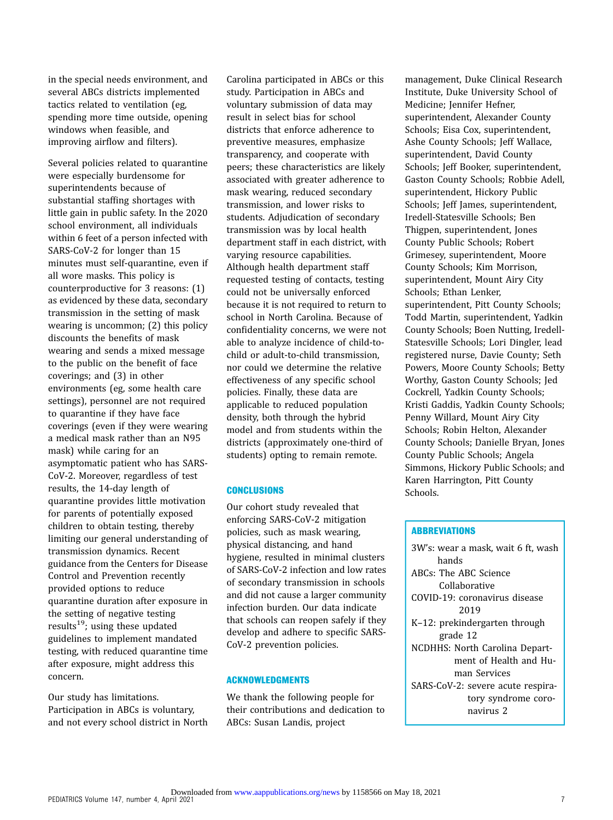in the special needs environment, and several ABCs districts implemented tactics related to ventilation (eg, spending more time outside, opening windows when feasible, and improving airflow and filters).

Several policies related to quarantine were especially burdensome for superintendents because of substantial staffing shortages with little gain in public safety. In the 2020 school environment, all individuals within 6 feet of a person infected with SARS-CoV-2 for longer than 15 minutes must self-quarantine, even if all wore masks. This policy is counterproductive for 3 reasons: (1) as evidenced by these data, secondary transmission in the setting of mask wearing is uncommon; (2) this policy discounts the benefits of mask wearing and sends a mixed message to the public on the benefit of face coverings; and (3) in other environments (eg, some health care settings), personnel are not required to quarantine if they have face coverings (even if they were wearing a medical mask rather than an N95 mask) while caring for an asymptomatic patient who has SARS-CoV-2. Moreover, regardless of test results, the 14-day length of quarantine provides little motivation for parents of potentially exposed children to obtain testing, thereby limiting our general understanding of transmission dynamics. Recent guidance from the Centers for Disease Control and Prevention recently provided options to reduce quarantine duration after exposure in the setting of negative testing results<sup>19</sup>; using these updated guidelines to implement mandated testing, with reduced quarantine time after exposure, might address this concern.

Our study has limitations. Participation in ABCs is voluntary, and not every school district in North Carolina participated in ABCs or this study. Participation in ABCs and voluntary submission of data may result in select bias for school districts that enforce adherence to preventive measures, emphasize transparency, and cooperate with peers; these characteristics are likely associated with greater adherence to mask wearing, reduced secondary transmission, and lower risks to students. Adjudication of secondary transmission was by local health department staff in each district, with varying resource capabilities. Although health department staff requested testing of contacts, testing could not be universally enforced because it is not required to return to school in North Carolina. Because of confidentiality concerns, we were not able to analyze incidence of child-tochild or adult-to-child transmission, nor could we determine the relative effectiveness of any specific school policies. Finally, these data are applicable to reduced population density, both through the hybrid model and from students within the districts (approximately one-third of students) opting to remain remote.

#### **CONCLUSIONS**

Our cohort study revealed that enforcing SARS-CoV-2 mitigation policies, such as mask wearing, physical distancing, and hand hygiene, resulted in minimal clusters of SARS-CoV-2 infection and low rates of secondary transmission in schools and did not cause a larger community infection burden. Our data indicate that schools can reopen safely if they develop and adhere to specific SARS-CoV-2 prevention policies.

#### ACKNOWLEDGMENTS

We thank the following people for their contributions and dedication to ABCs: Susan Landis, project

management, Duke Clinical Research Institute, Duke University School of Medicine; Jennifer Hefner, superintendent, Alexander County Schools; Eisa Cox, superintendent, Ashe County Schools; Jeff Wallace, superintendent, David County Schools; Jeff Booker, superintendent, Gaston County Schools; Robbie Adell, superintendent, Hickory Public Schools; Jeff James, superintendent, Iredell-Statesville Schools; Ben Thigpen, superintendent, Jones County Public Schools; Robert Grimesey, superintendent, Moore County Schools; Kim Morrison, superintendent, Mount Airy City Schools; Ethan Lenker, superintendent, Pitt County Schools; Todd Martin, superintendent, Yadkin County Schools; Boen Nutting, Iredell-Statesville Schools; Lori Dingler, lead registered nurse, Davie County; Seth Powers, Moore County Schools; Betty Worthy, Gaston County Schools; Jed Cockrell, Yadkin County Schools; Kristi Gaddis, Yadkin County Schools; Penny Willard, Mount Airy City Schools; Robin Helton, Alexander County Schools; Danielle Bryan, Jones County Public Schools; Angela Simmons, Hickory Public Schools; and Karen Harrington, Pitt County Schools.

### **ABBREVIATIONS**

3W's: wear a mask, wait 6 ft, wash hands ABCs: The ABC Science Collaborative COVID-19: coronavirus disease 2019 K–12: prekindergarten through grade 12 NCDHHS: North Carolina Department of Health and Human Services SARS-CoV-2: severe acute respiratory syndrome coronavirus 2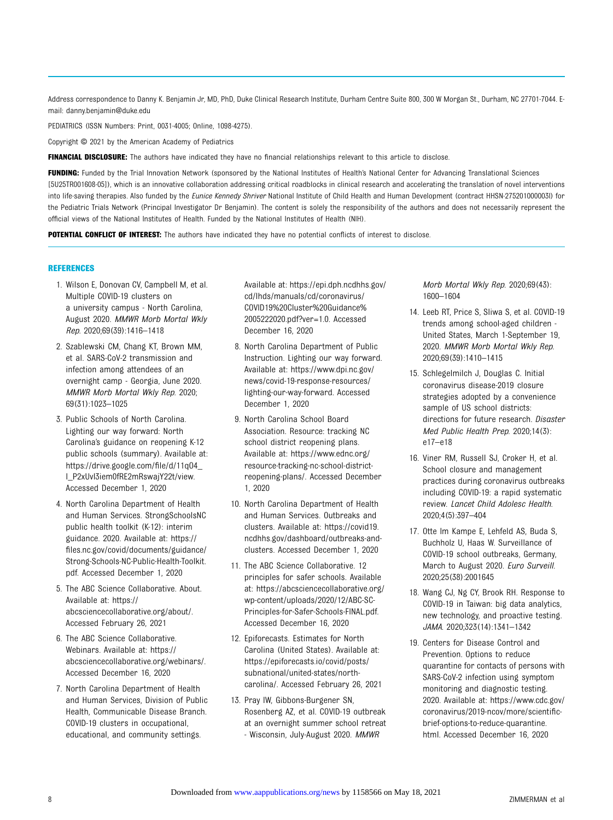<span id="page-7-0"></span>Address correspondence to Danny K. Benjamin Jr, MD, PhD, Duke Clinical Research Institute, Durham Centre Suite 800, 300 W Morgan St., Durham, NC 27701-7044. Email: [danny.benjamin@duke.edu](mailto:danny.benjamin@duke.edu)

PEDIATRICS (ISSN Numbers: Print, 0031-4005; Online, 1098-4275).

Copyright © 2021 by the American Academy of Pediatrics

FINANCIAL DISCLOSURE: The authors have indicated they have no financial relationships relevant to this article to disclose.

FUNDING: Funded by the Trial Innovation Network (sponsored by the National Institutes of Health's National Center for Advancing Translational Sciences [5U25TR001608-05]), which is an innovative collaboration addressing critical roadblocks in clinical research and accelerating the translation of novel interventions into life-saving therapies. Also funded by the *Eunice Kennedy Shriver* National Institute of Child Health and Human Development (contract HHSN-275201000003I) for the Pediatric Trials Network (Principal Investigator Dr Benjamin). The content is solely the responsibility of the authors and does not necessarily represent the official views of the National Institutes of Health. Funded by the National Institutes of Health (NIH).

POTENTIAL CONFLICT OF INTEREST: The authors have indicated they have no potential conflicts of interest to disclose.

#### REFERENCES

- 1. Wilson E, Donovan CV, Campbell M, et al. Multiple COVID-19 clusters on a university campus - North Carolina, August 2020. MMWR Morb Mortal Wkly Rep. 2020;69(39):1416–1418
- 2. Szablewski CM, Chang KT, Brown MM, et al. SARS-CoV-2 transmission and infection among attendees of an overnight camp - Georgia, June 2020. MMWR Morb Mortal Wkly Rep. 2020; 69(31):1023–1025
- 3. Public Schools of North Carolina. Lighting our way forward: North Carolina's guidance on reopening K-12 public schools (summary). Available at: [https://drive.google.com/](https://drive.google.com/file/d/11qO4_l_P2xUvI3iem0fRE2mRswajY22t/view)file/d/11qO4\_ [l\\_P2xUvI3iem0fRE2mRswajY22t/view.](https://drive.google.com/file/d/11qO4_l_P2xUvI3iem0fRE2mRswajY22t/view) Accessed December 1, 2020
- 4. North Carolina Department of Health and Human Services. StrongSchoolsNC public health toolkit (K-12): interim guidance. 2020. Available at: [https://](https://files.nc.gov/covid/documents/guidance/Strong-Schools-NC-Public-Health-Toolkit.pdf) fi[les.nc.gov/covid/documents/guidance/](https://files.nc.gov/covid/documents/guidance/Strong-Schools-NC-Public-Health-Toolkit.pdf) [Strong-Schools-NC-Public-Health-Toolkit.](https://files.nc.gov/covid/documents/guidance/Strong-Schools-NC-Public-Health-Toolkit.pdf) [pdf.](https://files.nc.gov/covid/documents/guidance/Strong-Schools-NC-Public-Health-Toolkit.pdf) Accessed December 1, 2020
- 5. The ABC Science Collaborative. About. Available at: [https://](https://abcsciencecollaborative.org/about/) [abcsciencecollaborative.org/about/.](https://abcsciencecollaborative.org/about/) Accessed February 26, 2021
- 6. The ABC Science Collaborative. Webinars. Available at: [https://](https://abcsciencecollaborative.org/webinars/) [abcsciencecollaborative.org/webinars/.](https://abcsciencecollaborative.org/webinars/) Accessed December 16, 2020
- 7. North Carolina Department of Health and Human Services, Division of Public Health, Communicable Disease Branch. COVID-19 clusters in occupational, educational, and community settings.

Available at: [https://epi.dph.ncdhhs.gov/](https://epi.dph.ncdhhs.gov/cd/lhds/manuals/cd/coronavirus/COVID19%20Cluster%20Guidance%2005222020.pdf?ver=1.0) [cd/lhds/manuals/cd/coronavirus/](https://epi.dph.ncdhhs.gov/cd/lhds/manuals/cd/coronavirus/COVID19%20Cluster%20Guidance%2005222020.pdf?ver=1.0) [COVID19%20Cluster%20Guidance%](https://epi.dph.ncdhhs.gov/cd/lhds/manuals/cd/coronavirus/COVID19%20Cluster%20Guidance%2005222020.pdf?ver=1.0) [2005222020.pdf?ver=1.0.](https://epi.dph.ncdhhs.gov/cd/lhds/manuals/cd/coronavirus/COVID19%20Cluster%20Guidance%2005222020.pdf?ver=1.0) Accessed December 16, 2020

- 8. North Carolina Department of Public Instruction. Lighting our way forward. Available at: [https://www.dpi.nc.gov/](https://www.dpi.nc.gov/news/covid-19-response-resources/lighting-our-way-forward) [news/covid-19-response-resources/](https://www.dpi.nc.gov/news/covid-19-response-resources/lighting-our-way-forward) [lighting-our-way-forward](https://www.dpi.nc.gov/news/covid-19-response-resources/lighting-our-way-forward). Accessed December 1, 2020
- 9. North Carolina School Board Association. Resource: tracking NC school district reopening plans. Available at: [https://www.ednc.org/](https://www.ednc.org/resource-tracking-nc-school-district-reopening-plans/) [resource-tracking-nc-school-district](https://www.ednc.org/resource-tracking-nc-school-district-reopening-plans/)[reopening-plans/.](https://www.ednc.org/resource-tracking-nc-school-district-reopening-plans/) Accessed December 1, 2020
- 10. North Carolina Department of Health and Human Services. Outbreaks and clusters. Available at: [https://covid19.](https://covid19.ncdhhs.gov/dashboard/outbreaks-and-clusters) [ncdhhs.gov/dashboard/outbreaks-and](https://covid19.ncdhhs.gov/dashboard/outbreaks-and-clusters)[clusters.](https://covid19.ncdhhs.gov/dashboard/outbreaks-and-clusters) Accessed December 1, 2020
- 11. The ABC Science Collaborative. 12 principles for safer schools. Available at: [https://abcsciencecollaborative.org/](https://abcsciencecollaborative.org/wp-content/uploads/2020/12/ABC-SC-Principles-for-Safer-Schools-FINAL.pdf) [wp-content/uploads/2020/12/ABC-SC-](https://abcsciencecollaborative.org/wp-content/uploads/2020/12/ABC-SC-Principles-for-Safer-Schools-FINAL.pdf)[Principles-for-Safer-Schools-FINAL.pdf.](https://abcsciencecollaborative.org/wp-content/uploads/2020/12/ABC-SC-Principles-for-Safer-Schools-FINAL.pdf) Accessed December 16, 2020
- 12. Epiforecasts. Estimates for North Carolina (United States). Available at: [https://epiforecasts.io/covid/posts/](https://epiforecasts.io/covid/posts/subnational/united-states/north-carolina/) [subnational/united-states/north](https://epiforecasts.io/covid/posts/subnational/united-states/north-carolina/)[carolina/.](https://epiforecasts.io/covid/posts/subnational/united-states/north-carolina/) Accessed February 26, 2021
- 13. Pray IW, Gibbons-Burgener SN, Rosenberg AZ, et al. COVID-19 outbreak at an overnight summer school retreat - Wisconsin, July-August 2020. MMWR

Morb Mortal Wkly Rep. 2020;69(43): 1600–1604

- 14. Leeb RT, Price S, Sliwa S, et al. COVID-19 trends among school-aged children - United States, March 1-September 19, 2020. MMWR Morb Mortal Wkly Rep. 2020;69(39):1410–1415
- 15. Schlegelmilch J, Douglas C. Initial coronavirus disease-2019 closure strategies adopted by a convenience sample of US school districts: directions for future research. Disaster Med Public Health Prep. 2020;14(3): e17–e18
- 16. Viner RM, Russell SJ, Croker H, et al. School closure and management practices during coronavirus outbreaks including COVID-19: a rapid systematic review. Lancet Child Adolesc Health. 2020;4(5):397–404
- 17. Otte Im Kampe E, Lehfeld AS, Buda S, Buchholz U, Haas W. Surveillance of COVID-19 school outbreaks, Germany, March to August 2020. Euro Surveill. 2020;25(38):2001645
- 18. Wang CJ, Ng CY, Brook RH. Response to COVID-19 in Taiwan: big data analytics, new technology, and proactive testing. JAMA. 2020;323(14):1341–1342
- 19. Centers for Disease Control and Prevention. Options to reduce quarantine for contacts of persons with SARS-CoV-2 infection using symptom monitoring and diagnostic testing. 2020. Available at: [https://www.cdc.gov/](https://www.cdc.gov/coronavirus/2019-ncov/more/scientific-brief-options-to-reduce-quarantine.html) [coronavirus/2019-ncov/more/scienti](https://www.cdc.gov/coronavirus/2019-ncov/more/scientific-brief-options-to-reduce-quarantine.html)fic[brief-options-to-reduce-quarantine.](https://www.cdc.gov/coronavirus/2019-ncov/more/scientific-brief-options-to-reduce-quarantine.html) [html](https://www.cdc.gov/coronavirus/2019-ncov/more/scientific-brief-options-to-reduce-quarantine.html). Accessed December 16, 2020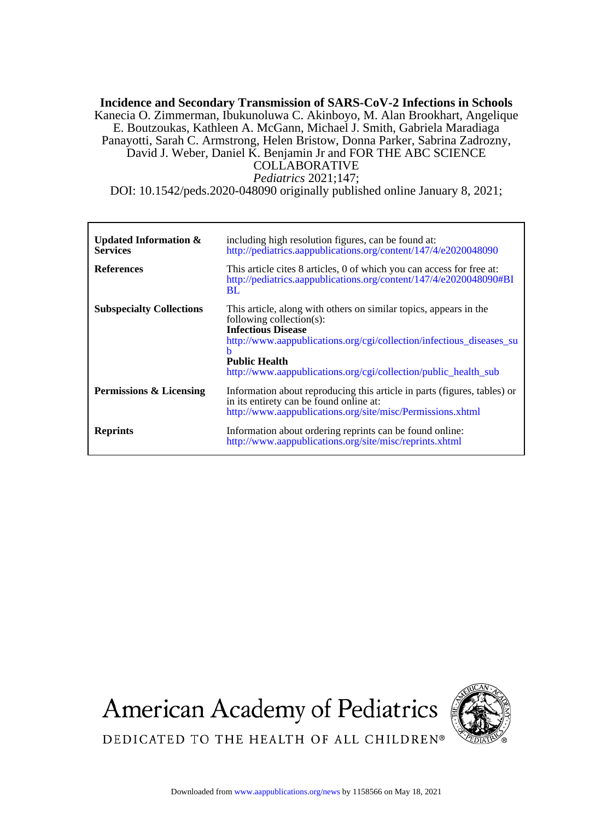# *Pediatrics* 2021;147; COLLABORATIVE David J. Weber, Daniel K. Benjamin Jr and FOR THE ABC SCIENCE Panayotti, Sarah C. Armstrong, Helen Bristow, Donna Parker, Sabrina Zadrozny, E. Boutzoukas, Kathleen A. McGann, Michael J. Smith, Gabriela Maradiaga Kanecia O. Zimmerman, Ibukunoluwa C. Akinboyo, M. Alan Brookhart, Angelique **Incidence and Secondary Transmission of SARS-CoV-2 Infections in Schools**

DOI: 10.1542/peds.2020-048090 originally published online January 8, 2021;

| <b>Updated Information &amp;</b><br><b>Services</b><br><b>References</b> | including high resolution figures, can be found at:<br>http://pediatrics.aappublications.org/content/147/4/e2020048090<br>This article cites 8 articles, 0 of which you can access for free at:<br>http://pediatrics.aappublications.org/content/147/4/e2020048090#BI<br><b>BL</b>                 |
|--------------------------------------------------------------------------|----------------------------------------------------------------------------------------------------------------------------------------------------------------------------------------------------------------------------------------------------------------------------------------------------|
| <b>Subspecialty Collections</b>                                          | This article, along with others on similar topics, appears in the<br>following collection(s):<br><b>Infectious Disease</b><br>http://www.aappublications.org/cgi/collection/infectious_diseases_su<br>h<br><b>Public Health</b><br>http://www.aappublications.org/cgi/collection/public health sub |
| Permissions & Licensing                                                  | Information about reproducing this article in parts (figures, tables) or<br>in its entirety can be found online at:<br>http://www.aappublications.org/site/misc/Permissions.xhtml                                                                                                                  |
| <b>Reprints</b>                                                          | Information about ordering reprints can be found online:<br>http://www.aappublications.org/site/misc/reprints.xhtml                                                                                                                                                                                |

**American Academy of Pediatrics** 



DEDICATED TO THE HEALTH OF ALL CHILDREN®